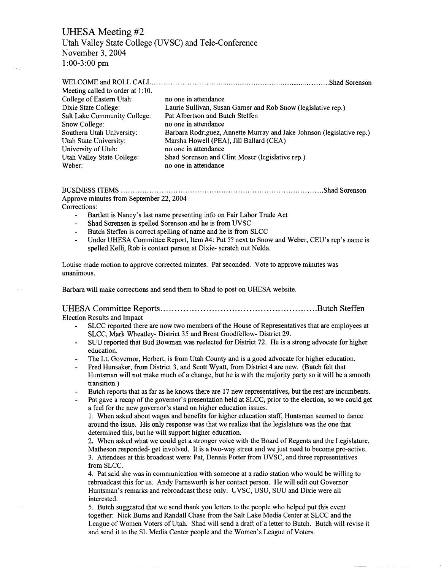## UHESA Meeting #2

Utah Valley State College (UVSC) and Tele-Conference November 3, 2004  $1:00-3:00$  pm

| no one in attendance                                                  |
|-----------------------------------------------------------------------|
| Laurie Sullivan, Susan Garner and Rob Snow (legislative rep.)         |
| Pat Albertson and Butch Steffen                                       |
| no one in attendance                                                  |
| Barbara Rodriguez, Annette Murray and Jake Johnson (legislative rep.) |
| Marsha Howell (PEA), Jill Ballard (CEA)                               |
| no one in attendance                                                  |
| Shad Sorenson and Clint Moser (legislative rep.)                      |
| no one in attendance                                                  |
|                                                                       |

BUSINESS ITEMS Shad Sorenson Approve minutes from September 22, 2004

Corrections:

- Bartlett is Nancy's last name presenting info on Fair Labor Trade Act  $\overline{\phantom{a}}$
- Shad Sorensen is spelled Sorenson and he is from UVSC
- Butch Steffen is correct spelling of name and he is from SLCC
- Under UHESA Committee Report, Item #4: Put ?? next to Snow and Weber, CEU's rep's name is spelled Kelli, Rob is contact person at Dixie- scratch out Nelda.

Louise made motion to approve corrected minutes. Pat seconded. Vote to approve minutes was unanimous.

Barbara will make corrections and send them to Shad to post on UHESA website.

### UHESA Committee Reports Butch Steffen

Election Results and Impact

- SLCC reported there are now two members of the House of Representatives that are employees at SLCC, Mark Wheatley- District 35 and Brent Goodfellow- District 29.
- SUU reported that Bud Bowman was reelected for District 72. He is a strong advocate for higher education.
- The Lt. Governor, Herbert, is from Utah County and is a good advocate for higher education.
- Fred Hunsaker, from District 3, and Scott Wyatt, from District 4 are new. (Butch felt that Huntsman will not make much of a change, but he is with the majority party so it will be a smooth transition.)
- Butch reports that as far as he knows there are 17 new representatives, but the rest are incumbents.
	- Pat gave a recap of the governor's presentation held at SLCC, prior to the election, so we could get a feel for the new governor's stand on higher education issues.

1. When asked about wages and benefits for higher education staff, Huntsman seemed to dance around the issue. His only response was that we realize that the legislature was the one that determined this, but he will support higher education.

2. When asked what we could get a stronger voice with the Board of Regents and the Legislature, Matheson responded- get involved. It is a two-way street and we just need to become pro-active. 3. Attendees at this broadcast were: Pat, Dennis Potter from UVSC, and three representatives from SLCC.

4. Pat said she was in communication with someone at a radio station who would be willing to rebroadcast this for us. Andy Farnsworth is her contact person. He will edit out Governor Huntsman's remarks and rebroadcast those only. UVSC, USU, SUU and Dixie were all interested.

5. Butch suggested that we send thank you letters to the people who helped put this event together: Nick Burns and Randall Chase from the Salt Lake Media Center at SLCC and the League of Women Voters of Utah. Shad will send a draft of a letter to Butch. Butch will revise it and send it to the SL Media Center people and the Women's League of Voters.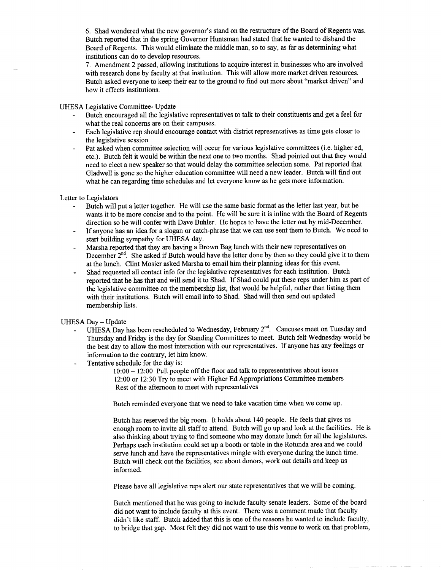6. Shad wondered what the new governor's stand on the restructure of the Board of Regents was. Butch reported that in the spring Governor Huntsman had stated that he wanted to disband the Board of Regents. This would eliminate the middle man, so to say, as far as determining what institutions can do to develop resources.

7. Amendment 2 passed, allowing institutions to acquire interest in businesses who are involved with research done by faculty at that institution. This will allow more market driven resources. Butch asked everyone to keep their ear to the ground to find out more about "market driven" and how it effects institutions.

UHESA Legislative Committee- Update

- Butch encouraged all the legislative representatives to talk to their constituents and get a feel for what the real concerns are on their campuses.
- Each legislative rep should encourage contact with district representatives as time gets closer to the legislative session
- Pat asked when committee selection will occur for various legislative committees (i.e. higher ed, etc.). Butch felt it would be within the next one to two months. Shad pointed out that they would need to elect a new speaker so that would delay the committee selection some. Pat reported that Gladwell is gone so the higher education committee will need a new leader. Butch will find out what he can regarding time schedules and let everyone know as he gets more information.

Letter to Legislators

- Butch will put a letter together. He will use the same basic format as the letter last year, but he wants it to be more concise and to the point. He will be sure it is inline with the Board of Regents direction so he will confer with Dave Buhler. He hopes to have the letter out by mid-December.
- If anyone has an idea for a slogan or catch-phrase that we can use sent them to Butch. We need to start building sympathy for UHESA day.
- Marsha reported that they are having a Brown Bag lunch with their new representatives on December  $2^{nd}$ . She asked if Butch would have the letter done by then so they could give it to them at the lunch. Clint Mosier asked Marsha to email him their planning ideas for this event.
- Shad requested all contact info for the legislative representatives for each institution. Butch reported that he has that and will send it to Shad. If Shad could put these reps under him as part of the legislative committee on the membership list, that would be helpful, rather than listing them with their institutions. Butch will email info to Shad. Shad will then send out updated membership lists.

UHESA Day-Update

- UHESA Day has been rescheduled to Wednesday, February 2<sup>nd</sup>. Caucuses meet on Tuesday and Thursday and Friday is the day for Standing Committees to meet. Butch felt Wednesday would be the best day to allow the most interaction with our representatives. If anyone has any feelings or information to the contrary, let him know.
- Tentative schedule for the day is:

10:00 — 12:00 Pull people off the floor and talk to representatives about issues 12:00 or 12:30 Try to meet with Higher Ed Appropriations Committee members Rest of the afternoon to meet with representatives

Butch reminded everyone that we need to take vacation time when we come up.

Butch has reserved the big room. It holds about 140 people. He feels that gives us enough room to invite all staff to attend. Butch will go up and look at the facilities. He is also thinking about trying to find someone who may donate lunch for all the legislatures. Perhaps each institution could set up a booth or table in the Rotunda area and we could serve lunch and have the representatives mingle with everyone during the lunch time. Butch will check out the facilities, see about donors, work out details and keep us informed.

Please have all legislative reps alert our state representatives that we will be coming.

Butch mentioned that he was going to include faculty senate leaders. Some of the board did not want to include faculty at this event. There was a comment made that faculty didn't like staff. Butch added that this is one of the reasons he wanted to include faculty, to bridge that gap. Most felt they did not want to use this venue to work on that problem,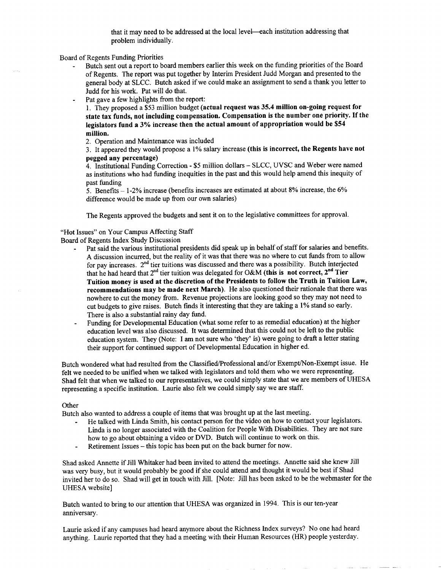that it may need to be addressed at the local level—each institution addressing that problem individually.

Board of Regents Funding Priorities

- Butch sent out a report to board members earlier this week on the funding priorities of the Board of Regents. The report was put together by Interim President Judd Morgan and presented to the general body at SLCC. Butch asked if we could make an assignment to send a thank you letter to Judd for his work. Pat will do that.
- Pat gave a few highlights from the report:

1. They proposed a \$53 million budget (actual request was 35.4 million on-going request for state tax funds, not including compensation. Compensation is the number one priority. If the legislators fund a 3% increase then the actual amount of appropriation would be \$54 million.

2. Operation and Maintenance was included

3. It appeared they would propose a 1% salary increase (this is incorrect, the Regents have not pegged any percentage)

4. Institutional Funding Correction - \$5 million dollars - SLCC, UVSC and Weber were named as institutions who had funding inequities in the past and this would help amend this inequity of past funding

5. Benefits - 1-2% increase (benefits increases are estimated at about 8% increase, the 6% difference would be made up from our own salaries)

The Regents approved the budgets and sent it on to the legislative committees for approval.

#### "Hot Issues" on Your Campus Affecting Staff

Board of Regents Index Study Discussion

- Pat said the various institutional presidents did speak up in behalf of staff for salaries and benefits. A discussion incurred, but the reality of it was that there was no where to cut funds from to allow for pay increases.  $2^{nd}$  tier tuitions was discussed and there was a possibility. Butch interjected that he had heard that  $2^{nd}$  tier tuition was delegated for O&M (this is not correct,  $2^{nd}$  Tier Tuition money is used at the discretion of the Presidents to follow the Truth in Tuition Law, recommendations may be made next March). He also questioned their rationale that there was nowhere to cut the money from. Revenue projections are looking good so they may not need to cut budgets to give raises. Butch finds it interesting that they are taking a 1% stand so early. There is also a substantial rainy day fund.
- Funding for Developmental Education (what some refer to as remedial education) at the higher education level was also discussed. It was determined that this could not be left to the public education system. They (Note: I am not sure who 'they' is) were going to draft a letter stating their support for continued support of Developmental Education in higher ed.

Butch wondered what had resulted from the Classified/Professional and/or Exempt/Non-Exempt issue. He felt we needed to be unified when we talked with legislators and told them who we were representing. Shad felt that when we talked to our representatives, we could simply state that we are members of UHESA representing a specific institution. Laurie also felt we could simply say we are staff.

#### **Other**

Butch also wanted to address a couple of items that was brought up at the last meeting.

- He talked with Linda Smith, his contact person for the video on how to contact your legislators. Linda is no longer associated with the Coalition for People With Disabilities. They are not sure how to go about obtaining a video or DVD. Butch will continue to work on this.
- Retirement Issues this topic has been put on the back burner for now.

Shad asked Annette if Jill Whitaker had been invited to attend the meetings. Annette said she knew Jill was very busy, but it would probably be good if she could attend and thought it would be best if Shad invited her to do so. Shad will get in touch with Jill. [Note: Jill has been asked to be the webmaster for the UHESA website]

Butch wanted to bring to our attention that UHESA was organized in 1994. This is our ten-year anniversary.

Laurie asked if any campuses had heard anymore about the Richness Index surveys? No one had heard anything. Laurie reported that they had a meeting with their Human Resources (HR) people yesterday.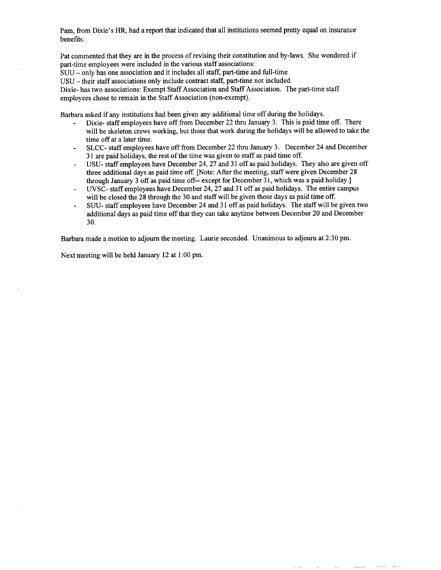Pam, from Dixie's HR, had a report that indicated that all institutions seemed pretty equal on insurance benefits.

Pat commented that they are in the process of revising their constitution and by-laws. She wondered if part-time employees were included in the various staff associations:

SUU - only has one association and it includes all staff, part-time and full-time

USU - their staff associations only include contract staff, part-time not included.

Dixie- has two associations: Exempt Staff Association and Staff Association. The part-time staff employees chose to remain in the Staff Association (non-exempt).

Barbara asked if any institutions had been given any additional time off during the holidays.

- Dixie- staff employees have off from December 22 thru January 3. This is paid time off. There will be skeleton crews working, but those that work during the holidays will be allowed to take the time off at a later time.
- SLCC- staff employees have off from December 22 thru January 3. December 24 and December 31 are paid holidays, the rest of the time was given to staff as paid time off.
- USU- staff employees have December 24, 27 and 31 off as paid holidays. They also are given off  $\overline{a}$ three additional days as paid time off. [Note: After the meeting, staff were given December 28 through January 3 off as paid time off-- except for December 31, which was a paid holiday.]
- UVSC- staff employees have December 24, 27 and 31 off as paid holidays. The entire campus will be closed the 28 through the 30 and staff will be given those days as paid time off.
- SUU- staff employees have December 24 and 31 off as paid holidays. The staff will be given two additional days as paid time off that they can take anytime between December 20 and December 30.

Barbara made a motion to adjourn the meeting. Laurie seconded. Unanimous to adjourn at 2:30 pm.

Next meeting will be held January 12 at 1:00 pm.